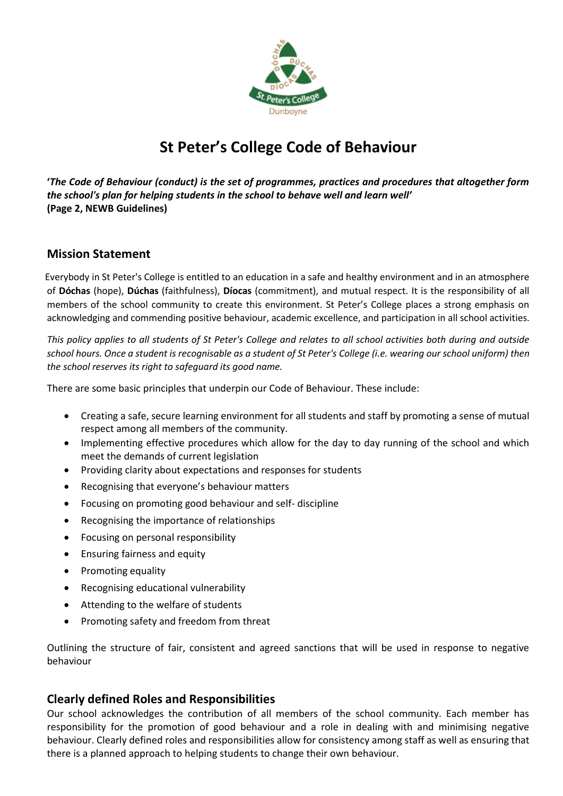

# **St Peter's College Code of Behaviour**

**'***The Code of Behaviour (conduct) is the set of programmes, practices and procedures that altogether form the school's plan for helping students in the school to behave well and learn well'*  **(Page 2, NEWB Guidelines)**

## **Mission Statement**

 Everybody in St Peter's College is entitled to an education in a safe and healthy environment and in an atmosphere of **Dóchas** (hope), **Dúchas** (faithfulness), **Díocas** (commitment), and mutual respect. It is the responsibility of all members of the school community to create this environment. St Peter's College places a strong emphasis on acknowledging and commending positive behaviour, academic excellence, and participation in all school activities.

*This policy applies to all students of St Peter's College and relates to all school activities both during and outside school hours. Once a student is recognisable as a student of St Peter's College (i.e. wearing our school uniform) then the school reserves its right to safeguard its good name.*

There are some basic principles that underpin our Code of Behaviour. These include:

- Creating a safe, secure learning environment for all students and staff by promoting a sense of mutual respect among all members of the community.
- Implementing effective procedures which allow for the day to day running of the school and which meet the demands of current legislation
- Providing clarity about expectations and responses for students
- Recognising that everyone's behaviour matters
- Focusing on promoting good behaviour and self- discipline
- Recognising the importance of relationships
- Focusing on personal responsibility
- Ensuring fairness and equity
- Promoting equality
- Recognising educational vulnerability
- Attending to the welfare of students
- Promoting safety and freedom from threat

Outlining the structure of fair, consistent and agreed sanctions that will be used in response to negative behaviour

## **Clearly defined Roles and Responsibilities**

Our school acknowledges the contribution of all members of the school community. Each member has responsibility for the promotion of good behaviour and a role in dealing with and minimising negative behaviour. Clearly defined roles and responsibilities allow for consistency among staff as well as ensuring that there is a planned approach to helping students to change their own behaviour.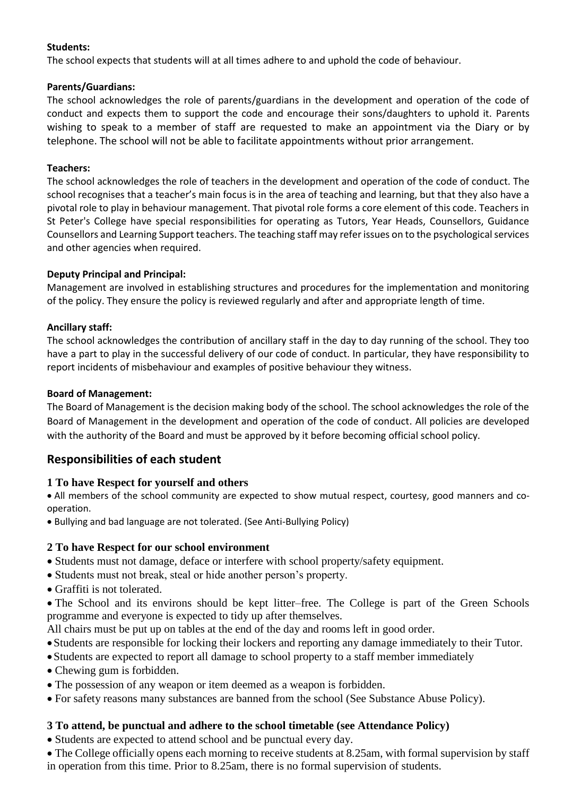#### **Students:**

The school expects that students will at all times adhere to and uphold the code of behaviour.

#### **Parents/Guardians:**

The school acknowledges the role of parents/guardians in the development and operation of the code of conduct and expects them to support the code and encourage their sons/daughters to uphold it. Parents wishing to speak to a member of staff are requested to make an appointment via the Diary or by telephone. The school will not be able to facilitate appointments without prior arrangement.

#### **Teachers:**

The school acknowledges the role of teachers in the development and operation of the code of conduct. The school recognises that a teacher's main focus is in the area of teaching and learning, but that they also have a pivotal role to play in behaviour management. That pivotal role forms a core element of this code. Teachers in St Peter's College have special responsibilities for operating as Tutors, Year Heads, Counsellors, Guidance Counsellors and Learning Support teachers. The teaching staff may refer issues on to the psychological services and other agencies when required.

## **Deputy Principal and Principal:**

Management are involved in establishing structures and procedures for the implementation and monitoring of the policy. They ensure the policy is reviewed regularly and after and appropriate length of time.

#### **Ancillary staff:**

The school acknowledges the contribution of ancillary staff in the day to day running of the school. They too have a part to play in the successful delivery of our code of conduct. In particular, they have responsibility to report incidents of misbehaviour and examples of positive behaviour they witness.

#### **Board of Management:**

The Board of Management is the decision making body of the school. The school acknowledges the role of the Board of Management in the development and operation of the code of conduct. All policies are developed with the authority of the Board and must be approved by it before becoming official school policy.

## **Responsibilities of each student**

## **1 To have Respect for yourself and others**

All members of the school community are expected to show mutual respect, courtesy, good manners and cooperation.

Bullying and bad language are not tolerated. (See Anti-Bullying Policy)

## **2 To have Respect for our school environment**

- Students must not damage, deface or interfere with school property/safety equipment.
- Students must not break, steal or hide another person's property.
- Graffiti is not tolerated.

The School and its environs should be kept litter–free. The College is part of the Green Schools programme and everyone is expected to tidy up after themselves.

All chairs must be put up on tables at the end of the day and rooms left in good order.

- Students are responsible for locking their lockers and reporting any damage immediately to their Tutor.
- Students are expected to report all damage to school property to a staff member immediately
- Chewing gum is forbidden.
- The possession of any weapon or item deemed as a weapon is forbidden.
- For safety reasons many substances are banned from the school (See Substance Abuse Policy).

## **3 To attend, be punctual and adhere to the school timetable (see Attendance Policy)**

• Students are expected to attend school and be punctual every day.

• The College officially opens each morning to receive students at 8.25am, with formal supervision by staff in operation from this time. Prior to 8.25am, there is no formal supervision of students.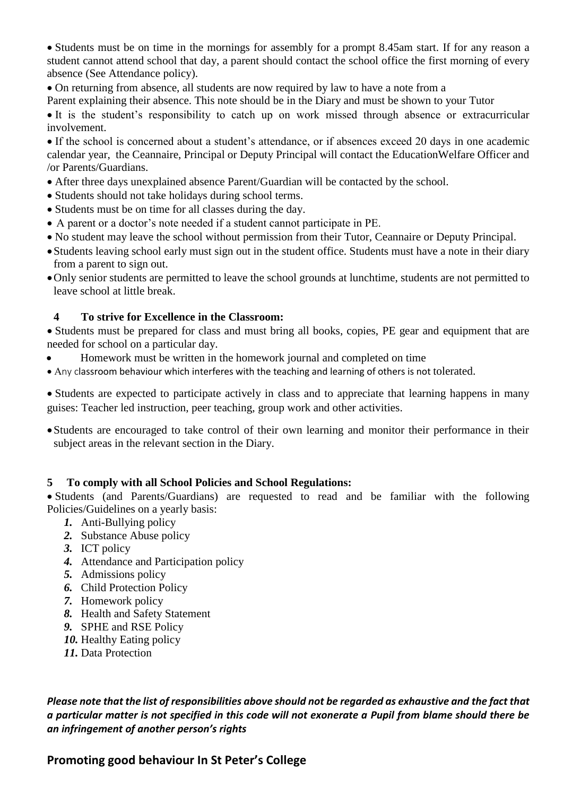• Students must be on time in the mornings for assembly for a prompt 8.45am start. If for any reason a student cannot attend school that day, a parent should contact the school office the first morning of every absence (See Attendance policy).

On returning from absence, all students are now required by law to have a note from a

Parent explaining their absence. This note should be in the Diary and must be shown to your Tutor

It is the student's responsibility to catch up on work missed through absence or extracurricular involvement.

If the school is concerned about a student's attendance, or if absences exceed 20 days in one academic calendar year, the Ceannaire, Principal or Deputy Principal will contact the EducationWelfare Officer and /or Parents/Guardians.

- After three days unexplained absence Parent/Guardian will be contacted by the school.
- Students should not take holidays during school terms.
- Students must be on time for all classes during the day.
- A parent or a doctor's note needed if a student cannot participate in PE.
- No student may leave the school without permission from their Tutor, Ceannaire or Deputy Principal.
- Students leaving school early must sign out in the student office. Students must have a note in their diary from a parent to sign out.
- Only senior students are permitted to leave the school grounds at lunchtime, students are not permitted to leave school at little break.

#### **4 To strive for Excellence in the Classroom:**

• Students must be prepared for class and must bring all books, copies, PE gear and equipment that are needed for school on a particular day.

- Homework must be written in the homework journal and completed on time
- Any classroom behaviour which interferes with the teaching and learning of others is not tolerated.

Students are expected to participate actively in class and to appreciate that learning happens in many guises: Teacher led instruction, peer teaching, group work and other activities.

Students are encouraged to take control of their own learning and monitor their performance in their subject areas in the relevant section in the Diary.

#### **5 To comply with all School Policies and School Regulations:**

Students (and Parents/Guardians) are requested to read and be familiar with the following Policies/Guidelines on a yearly basis:

- *1.* Anti-Bullying policy
- *2.* Substance Abuse policy
- *3.* ICT policy
- *4.* Attendance and Participation policy
- *5.* Admissions policy
- *6.* Child Protection Policy
- *7.* Homework policy
- *8.* Health and Safety Statement
- *9.* SPHE and RSE Policy
- *10.* Healthy Eating policy
- *11.* Data Protection

*Please note that the list of responsibilities above should not be regarded as exhaustive and the fact that a particular matter is not specified in this code will not exonerate a Pupil from blame should there be an infringement of another person's rights*

# **Promoting good behaviour In St Peter's College**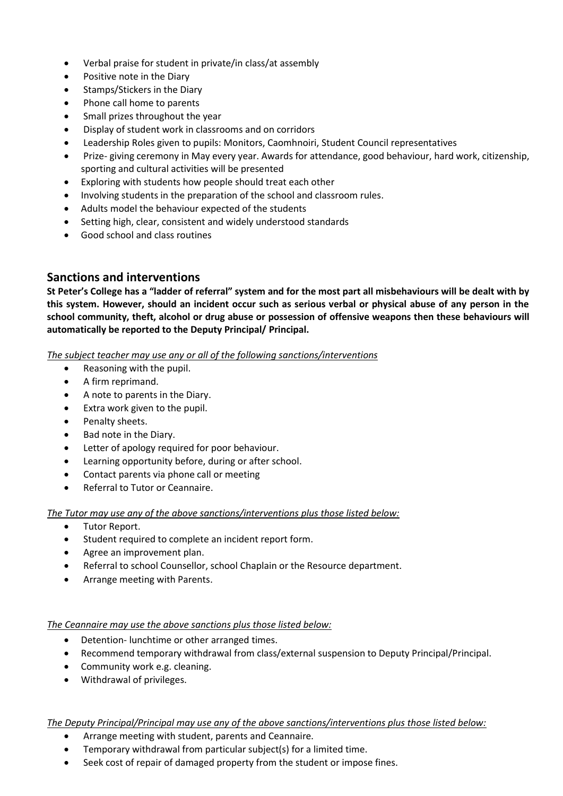- Verbal praise for student in private/in class/at assembly
- Positive note in the Diary
- Stamps/Stickers in the Diary
- Phone call home to parents
- Small prizes throughout the year
- Display of student work in classrooms and on corridors
- Leadership Roles given to pupils: Monitors, Caomhnoiri, Student Council representatives
- Prize- giving ceremony in May every year. Awards for attendance, good behaviour, hard work, citizenship, sporting and cultural activities will be presented
- Exploring with students how people should treat each other
- Involving students in the preparation of the school and classroom rules.
- Adults model the behaviour expected of the students
- Setting high, clear, consistent and widely understood standards
- Good school and class routines

## **Sanctions and interventions**

**St Peter's College has a "ladder of referral" system and for the most part all misbehaviours will be dealt with by this system. However, should an incident occur such as serious verbal or physical abuse of any person in the school community, theft, alcohol or drug abuse or possession of offensive weapons then these behaviours will automatically be reported to the Deputy Principal/ Principal.**

*The subject teacher may use any or all of the following sanctions/interventions* 

- Reasoning with the pupil.
- A firm reprimand.
- A note to parents in the Diary.
- Extra work given to the pupil.
- Penalty sheets.
- Bad note in the Diary.
- Letter of apology required for poor behaviour.
- Learning opportunity before, during or after school.
- Contact parents via phone call or meeting
- Referral to Tutor or Ceannaire.

*The Tutor may use any of the above sanctions/interventions plus those listed below:* 

- Tutor Report.
- Student required to complete an incident report form.
- Agree an improvement plan.
- Referral to school Counsellor, school Chaplain or the Resource department.
- Arrange meeting with Parents.

#### *The Ceannaire may use the above sanctions plus those listed below:*

- Detention- lunchtime or other arranged times.
- Recommend temporary withdrawal from class/external suspension to Deputy Principal/Principal.
- Community work e.g. cleaning.
- Withdrawal of privileges.

#### *The Deputy Principal/Principal may use any of the above sanctions/interventions plus those listed below:*

- Arrange meeting with student, parents and Ceannaire.
- Temporary withdrawal from particular subject(s) for a limited time.
- Seek cost of repair of damaged property from the student or impose fines.